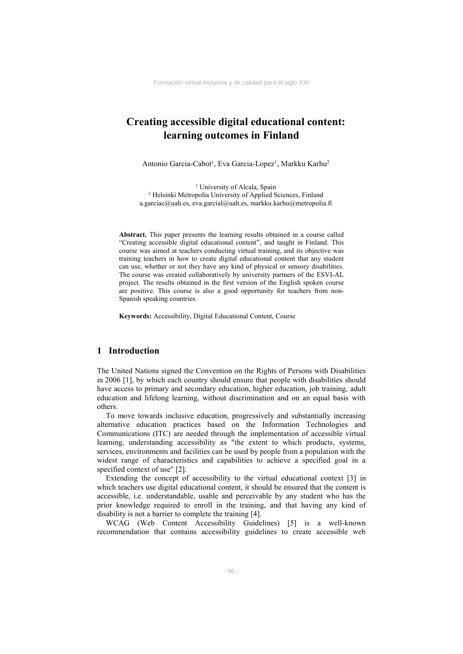# **Creating accessible digital educational content: learning outcomes in Finland**

Antonio Garcia-Cabot<sup>1</sup>, Eva Garcia-Lopez<sup>1</sup>, Markku Karhu<sup>2</sup>

<sup>1</sup> University of Alcala, Spain 2 Helsinki Metropolia University of Applied Sciences, Finland a.garciac@uah.es, eva.garcial@uah.es, markku.karhu@metropolia.fi

**Abstract.** This paper presents the learning results obtained in a course called "Creating accessible digital educational content", and taught in Finland. This course was aimed at teachers conducting virtual training, and its objective was training teachers in how to create digital educational content that any student can use, whether or not they have any kind of physical or sensory disabilities. The course was created collaboratively by university partners of the ESVI-AL project. The results obtained in the first version of the English spoken course are positive. This course is also a good opportunity for teachers from non-Spanish speaking countries.

**Keywords:** Accessibility, Digital Educational Content, Course

# **1 Introduction**

The United Nations signed the Convention on the Rights of Persons with Disabilities in 2006 [1], by which each country should ensure that people with disabilities should have access to primary and secondary education, higher education, job training, adult education and lifelong learning, without discrimination and on an equal basis with others.

To move towards inclusive education, progressively and substantially increasing alternative education practices based on the Information Technologies and Communications (ITC) are needed through the implementation of accessible virtual learning, understanding accessibility as "the extent to which products, systems, services, environments and facilities can be used by people from a population with the widest range of characteristics and capabilities to achieve a specified goal in a specified context of use" [2].

Extending the concept of accessibility to the virtual educational context [3] in which teachers use digital educational content, it should be ensured that the content is accessible, i.e. understandable, usable and perceivable by any student who has the prior knowledge required to enroll in the training, and that having any kind of disability is not a barrier to complete the training [4].

WCAG (Web Content Accessibility Guidelines) [5] is a well-known recommendation that contains accessibility guidelines to create accessible web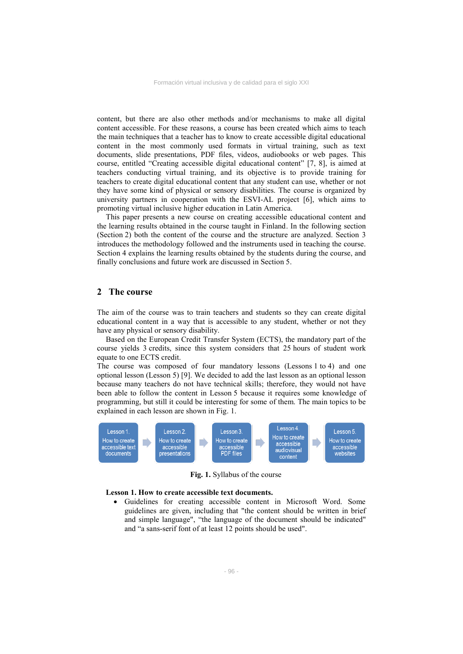content, but there are also other methods and/or mechanisms to make all digital content accessible. For these reasons, a course has been created which aims to teach the main techniques that a teacher has to know to create accessible digital educational content in the most commonly used formats in virtual training, such as text documents, slide presentations, PDF files, videos, audiobooks or web pages. This course, entitled "Creating accessible digital educational content" [7, 8], is aimed at teachers conducting virtual training, and its objective is to provide training for teachers to create digital educational content that any student can use, whether or not they have some kind of physical or sensory disabilities. The course is organized by university partners in cooperation with the ESVI-AL project [6], which aims to promoting virtual inclusive higher education in Latin America.

This paper presents a new course on creating accessible educational content and the learning results obtained in the course taught in Finland. In the following section (Section 2) both the content of the course and the structure are analyzed. Section 3 introduces the methodology followed and the instruments used in teaching the course. Section 4 explains the learning results obtained by the students during the course, and finally conclusions and future work are discussed in Section 5.

## **2 The course**

The aim of the course was to train teachers and students so they can create digital educational content in a way that is accessible to any student, whether or not they have any physical or sensory disability.

Based on the European Credit Transfer System (ECTS), the mandatory part of the course yields 3 credits, since this system considers that 25 hours of student work equate to one ECTS credit.

The course was composed of four mandatory lessons (Lessons 1 to 4) and one optional lesson (Lesson 5) [9]. We decided to add the last lesson as an optional lesson because many teachers do not have technical skills; therefore, they would not have been able to follow the content in Lesson 5 because it requires some knowledge of programming, but still it could be interesting for some of them. The main topics to be explained in each lesson are shown in Fig. 1.



**Fig. 1.** Syllabus of the course

#### **Lesson 1. How to create accessible text documents.**

 Guidelines for creating accessible content in Microsoft Word. Some guidelines are given, including that "the content should be written in brief and simple language", "the language of the document should be indicated" and "a sans-serif font of at least 12 points should be used".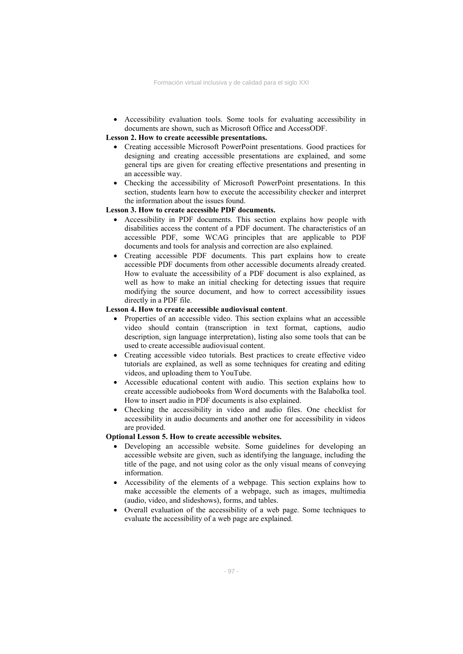Accessibility evaluation tools. Some tools for evaluating accessibility in documents are shown, such as Microsoft Office and AccessODF.

### **Lesson 2. How to create accessible presentations.**

- Creating accessible Microsoft PowerPoint presentations. Good practices for designing and creating accessible presentations are explained, and some general tips are given for creating effective presentations and presenting in an accessible way.
- Checking the accessibility of Microsoft PowerPoint presentations. In this section, students learn how to execute the accessibility checker and interpret the information about the issues found.

#### **Lesson 3. How to create accessible PDF documents.**

- Accessibility in PDF documents. This section explains how people with disabilities access the content of a PDF document. The characteristics of an accessible PDF, some WCAG principles that are applicable to PDF documents and tools for analysis and correction are also explained.
- Creating accessible PDF documents. This part explains how to create accessible PDF documents from other accessible documents already created. How to evaluate the accessibility of a PDF document is also explained, as well as how to make an initial checking for detecting issues that require modifying the source document, and how to correct accessibility issues directly in a PDF file.

## **Lesson 4. How to create accessible audiovisual content**.

- Properties of an accessible video. This section explains what an accessible video should contain (transcription in text format, captions, audio description, sign language interpretation), listing also some tools that can be used to create accessible audiovisual content.
- Creating accessible video tutorials. Best practices to create effective video tutorials are explained, as well as some techniques for creating and editing videos, and uploading them to YouTube.
- Accessible educational content with audio. This section explains how to create accessible audiobooks from Word documents with the Balabolka tool. How to insert audio in PDF documents is also explained.
- Checking the accessibility in video and audio files. One checklist for accessibility in audio documents and another one for accessibility in videos are provided.

#### **Optional Lesson 5. How to create accessible websites.**

- Developing an accessible website. Some guidelines for developing an accessible website are given, such as identifying the language, including the title of the page, and not using color as the only visual means of conveying information.
- Accessibility of the elements of a webpage. This section explains how to make accessible the elements of a webpage, such as images, multimedia (audio, video, and slideshows), forms, and tables.
- Overall evaluation of the accessibility of a web page. Some techniques to evaluate the accessibility of a web page are explained.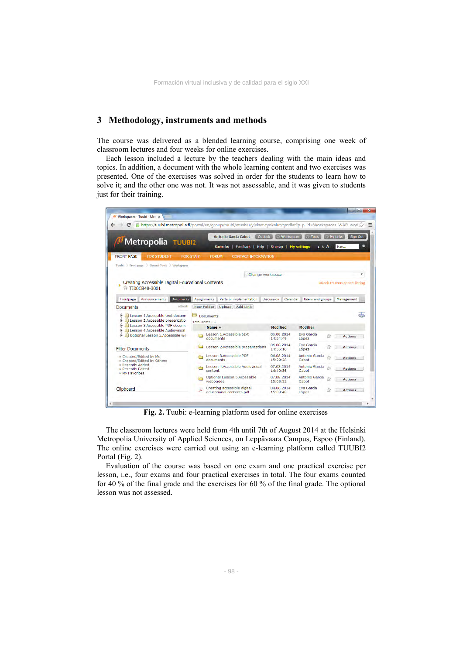## **3 Methodology, instruments and methods**

The course was delivered as a blended learning course, comprising one week of classroom lectures and four weeks for online exercises.

Each lesson included a lecture by the teachers dealing with the main ideas and topics. In addition, a document with the whole learning content and two exercises was presented. One of the exercises was solved in order for the students to learn how to solve it; and the other one was not. It was not assessable, and it was given to students just for their training.

|                                                                                                   | Antonio García Cabot                            | Outlook                    | Workspaces<br><b>Tools</b>   | My Links      | Sign Out       |
|---------------------------------------------------------------------------------------------------|-------------------------------------------------|----------------------------|------------------------------|---------------|----------------|
| Metropolia TUUBI2                                                                                 | Feedback<br>Suomeksi                            | Help<br>Sitemap            | <b>My settings</b>           | A A A<br>Hae  | ۰              |
| <b>FRONT PAGE</b><br><b>FOR STUDENT</b>                                                           | <b>FOR STAFF</b><br><b>FORUM</b>                | <b>CONTACT INFORMATION</b> |                              |               |                |
| Tuubi Front page General Tools Workspaces                                                         |                                                 |                            |                              |               |                |
|                                                                                                   |                                                 | - Change workspace -       |                              |               | ۰              |
| ☆ TI00CB48-3001<br><b>Documents</b><br>Announcements<br>Frontpage                                 | Parts of implementation<br><b>Assignments</b>   | <b>Discussion</b>          | Calendar<br>Users and groups | Management    |                |
| refresh<br><b>Documents</b>                                                                       | <b>New Folder</b><br>Upload   Add Link          |                            |                              |               |                |
| Lesson 1.Accessible text docum-<br>Lesson 2.Accessible presentatio                                | ら<br><b>Documents</b><br>Total items : 6.       |                            |                              |               | क              |
|                                                                                                   |                                                 |                            |                              |               |                |
| Lesson 3.Accessible PDF docume                                                                    | Name A                                          | <b>Modified</b>            | <b>Modifier</b>              |               |                |
| <b>E. Lesson 4.Accessible Audiovisual</b><br>Optional Lesson 5.Accessible we                      | Lesson 1.Accessible text<br>documents           | 06.08.2014<br>14:54:49     | Eva García<br>López          | $\frac{1}{2}$ | <b>Actions</b> |
|                                                                                                   | Lesson 2.Accessible presentations               | 06.08.2014<br>14:55:18     | Eva García<br>López          |               | <b>Actions</b> |
|                                                                                                   | Lesson 3.Accessible PDF<br>documents            | 06.08.2014<br>15:29:28     | Antonio García<br>Cabot      |               | <b>Actions</b> |
| » Recently Added<br>» Recently Edited                                                             | Lesson 4.Accessible Audiovisual<br>À<br>content | 07.08.2014<br>14:40:56     | Antonio García<br>Cabot      |               | <b>Actions</b> |
| <b>Filter Documents</b><br>» Created/Edited by Me<br>» Created/Edited by Others<br>» My Favorites | Optional Lesson 5.Accessible<br>A<br>webpages   | 07.08.2014<br>15:08:32     | Antonio García<br>Cabot      | ŵ             | <b>Actions</b> |

**Fig. 2.** Tuubi: e-learning platform used for online exercises

The classroom lectures were held from 4th until 7th of August 2014 at the Helsinki Metropolia University of Applied Sciences, on Leppävaara Campus, Espoo (Finland). The online exercises were carried out using an e-learning platform called TUUBI2 Portal (Fig. 2).

Evaluation of the course was based on one exam and one practical exercise per lesson, i.e., four exams and four practical exercises in total. The four exams counted for 40 % of the final grade and the exercises for 60 % of the final grade. The optional lesson was not assessed.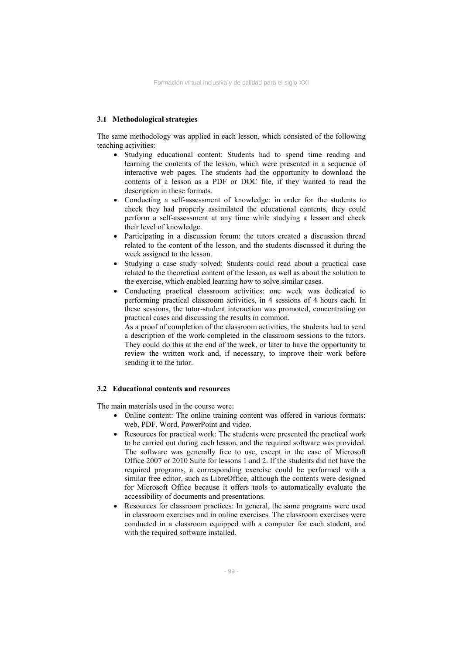## **3.1 Methodological strategies**

The same methodology was applied in each lesson, which consisted of the following teaching activities:

- Studying educational content: Students had to spend time reading and learning the contents of the lesson, which were presented in a sequence of interactive web pages. The students had the opportunity to download the contents of a lesson as a PDF or DOC file, if they wanted to read the description in these formats.
- Conducting a self-assessment of knowledge: in order for the students to check they had properly assimilated the educational contents, they could perform a self-assessment at any time while studying a lesson and check their level of knowledge.
- Participating in a discussion forum: the tutors created a discussion thread related to the content of the lesson, and the students discussed it during the week assigned to the lesson.
- Studying a case study solved: Students could read about a practical case related to the theoretical content of the lesson, as well as about the solution to the exercise, which enabled learning how to solve similar cases.
- Conducting practical classroom activities: one week was dedicated to performing practical classroom activities, in 4 sessions of 4 hours each. In these sessions, the tutor-student interaction was promoted, concentrating on practical cases and discussing the results in common.

As a proof of completion of the classroom activities, the students had to send a description of the work completed in the classroom sessions to the tutors. They could do this at the end of the week, or later to have the opportunity to review the written work and, if necessary, to improve their work before sending it to the tutor.

## **3.2 Educational contents and resources**

The main materials used in the course were:

- Online content: The online training content was offered in various formats: web, PDF, Word, PowerPoint and video.
- Resources for practical work: The students were presented the practical work to be carried out during each lesson, and the required software was provided. The software was generally free to use, except in the case of Microsoft Office 2007 or 2010 Suite for lessons 1 and 2. If the students did not have the required programs, a corresponding exercise could be performed with a similar free editor, such as LibreOffice, although the contents were designed for Microsoft Office because it offers tools to automatically evaluate the accessibility of documents and presentations.
- Resources for classroom practices: In general, the same programs were used in classroom exercises and in online exercises. The classroom exercises were conducted in a classroom equipped with a computer for each student, and with the required software installed.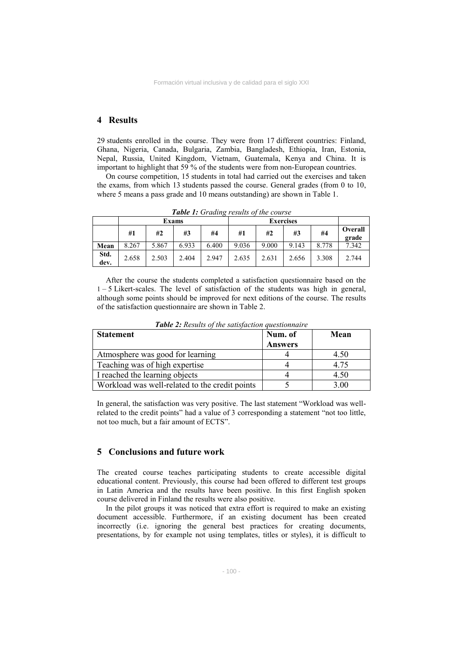# **4 Results**

29 students enrolled in the course. They were from 17 different countries: Finland, Ghana, Nigeria, Canada, Bulgaria, Zambia, Bangladesh, Ethiopia, Iran, Estonia, Nepal, Russia, United Kingdom, Vietnam, Guatemala, Kenya and China. It is important to highlight that 59 % of the students were from non-European countries.

On course competition, 15 students in total had carried out the exercises and taken the exams, from which 13 students passed the course. General grades (from 0 to 10, where 5 means a pass grade and 10 means outstanding) are shown in Table 1.

|              | Exams |       |       |       | <b>Exercises</b> |       |       |       |                  |
|--------------|-------|-------|-------|-------|------------------|-------|-------|-------|------------------|
|              | #1    | #2    | #3    | #4    | #1               | #2    | #3    | #4    | Overall<br>grade |
| Mean         | 8.267 | 5.867 | 6.933 | 6.400 | 9.036            | 9.000 | 9.143 | 8.778 | 7.342            |
| Std.<br>dev. | 2.658 | 2.503 | 2.404 | 2.947 | 2.635            | 2.631 | 2.656 | 3.308 | 2.744            |

*Table 1: Grading results of the course* 

After the course the students completed a satisfaction questionnaire based on the 1 – 5 Likert-scales. The level of satisfaction of the students was high in general, although some points should be improved for next editions of the course. The results of the satisfaction questionnaire are shown in Table 2.

| <b>Statement</b>                               | Num. of<br><b>Answers</b> | Mean |
|------------------------------------------------|---------------------------|------|
|                                                |                           |      |
| Atmosphere was good for learning               |                           | 4.50 |
| Teaching was of high expertise                 |                           | 4.75 |
| I reached the learning objects                 |                           | 4.50 |
| Workload was well-related to the credit points |                           | 3.00 |

*Table 2: Results of the satisfaction questionnaire* 

In general, the satisfaction was very positive. The last statement "Workload was wellrelated to the credit points" had a value of 3 corresponding a statement "not too little, not too much, but a fair amount of ECTS".

# **5 Conclusions and future work**

The created course teaches participating students to create accessible digital educational content. Previously, this course had been offered to different test groups in Latin America and the results have been positive. In this first English spoken course delivered in Finland the results were also positive.

In the pilot groups it was noticed that extra effort is required to make an existing document accessible. Furthermore, if an existing document has been created incorrectly (i.e. ignoring the general best practices for creating documents, presentations, by for example not using templates, titles or styles), it is difficult to